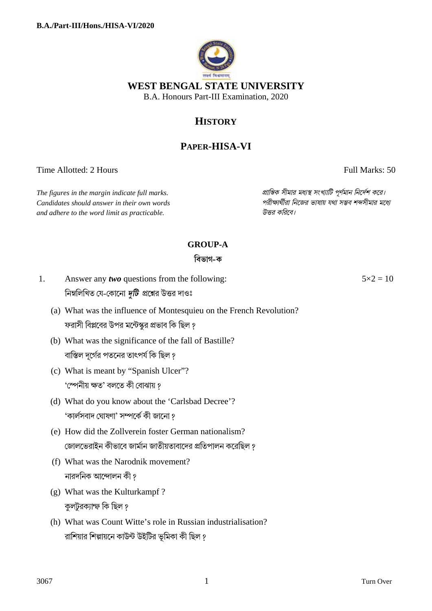

## **HISTORY**

# **PAPER-HISA-VI**

Time Allotted: 2 Hours Full Marks: 50

*The figures in the margin indicate full marks. pািnক সীমার মধ°s সংখ°ািট পূণমান িনেদশ কের। Candidates should answer in their own words পরীkাথীরা িনেজর ভাষায় যথা সmব শbসীমার মেধ° and adhere to the word limit as practicable. উtর কিরেব।*

### **GROUP-A**

#### **িবভাগ-ক**

- 1. Answer any *two* questions from the following: নিম্নলিখিত যে-কোনো *দুটি প্র*শ্নের উত্তর দাওঃ
	- (a) What was the influence of Montesquieu on the French Revolution? ফরাসী বিপ্লবের উপর মন্টেস্কুর প্রভাব কি ছিল ?
	- (b) What was the significance of the fall of Bastille? বাস্তিল দূর্গের পতনের তাৎপর্য কি ছিল ?
	- (c) What is meant by "Spanish Ulcer"? 'স্পেনীয় ক্ষত' বলতে কী বোঝায় ?
	- (d) What do you know about the 'Carlsbad Decree'? 'কাৰ্লসবাদ ঘােষণা' সম্পৰ্কে কী জানাে ?
	- (e) How did the Zollverein foster German nationalism? জোলভেরাইন কীভাবে জার্মান জাতীয়তাবাদের প্রতিপালন করেছিল ?
	- (f) What was the Narodnik movement? নারদনিক আন্দোলন কী ?
	- (g) What was the Kulturkampf ? কলটরক্যাম্ফ কি ছিল ?
	- (h) What was Count Witte's role in Russian industrialisation? রাশিয়ার শিল্পায়নে কাউন্ট উইটির ভূমিকা কী ছিল ?

 $5 \times 2 = 10$